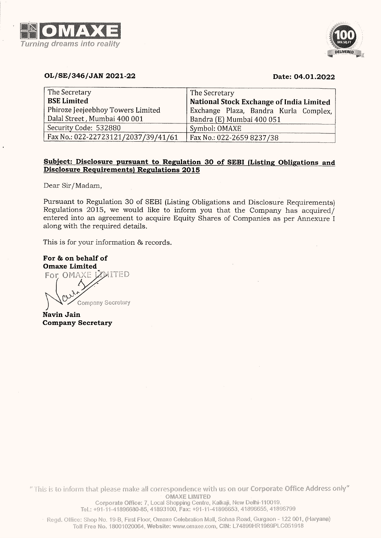



## OL/SE/346/JAN 2021-22 Date: 04.01.2022

| <b>VAD 4 2</b><br>ing dreams into reality                                                                                         |                                                                                                                                                  |
|-----------------------------------------------------------------------------------------------------------------------------------|--------------------------------------------------------------------------------------------------------------------------------------------------|
| OL/SE/346/JAN 2021-22                                                                                                             | <b>DELIVER</b><br>Date: 04.01.2022                                                                                                               |
| The Secretary<br><b>BSE Limited</b><br>Phiroze Jeejeebhoy Towers Limited<br>Dalal Street, Mumbai 400 001<br>Security Code: 532880 | The Secretary<br>National Stock Exchange of India Limited<br>Exchange Plaza, Bandra Kurla Complex,<br>Bandra (E) Mumbai 400 051<br>Symbol: OMAXE |
| For & on behalf of<br><b>Omaxe Limited</b><br>For OMAXE LYMITED                                                                   |                                                                                                                                                  |
|                                                                                                                                   |                                                                                                                                                  |
| Company Secretary                                                                                                                 |                                                                                                                                                  |
| Navin Jain<br><b>Company Secretary</b>                                                                                            |                                                                                                                                                  |
|                                                                                                                                   |                                                                                                                                                  |
|                                                                                                                                   |                                                                                                                                                  |

## Subject: Disclosure pursuant to Regulation 30 of SEBI (Listing Obligations and Disclosure Requirements) Regulations 2015

For & on behalf of  $\overline{\text{Omax}}$  Limited  $\overline{\text{Omax}}$ **Company Secretary** Navin Jain Company Secretary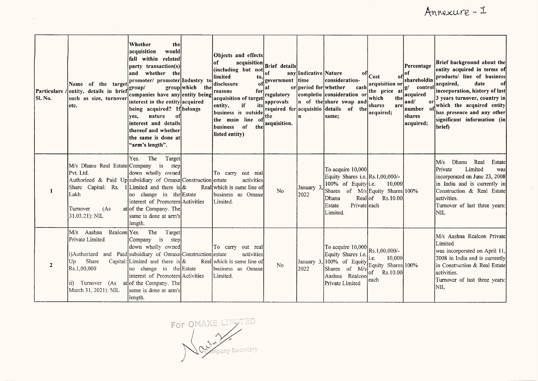$\sim 10^7$ 

| Particulars /<br>SI. No. | Name of the target<br>entity, details in brief<br>such as size, turnover<br>etc.                                                                                                                       | Whether<br>the<br>acquisition<br>would<br>fall within related<br>party transaction(s)<br>and whether the<br>promoter/ promoter Industry to<br>group/<br>companies have any entity being<br>interest in the entity acquired<br>being acquired? If belongs<br>nature<br>ves.<br>οť<br>interest and details<br>thereof and whether<br>lthe same is done at<br>"arm's length". | group which the | Objects and effects<br>acquisition<br>of<br>(including but not<br>limited<br>to,<br>disclosure<br>of<br>reasons<br>for<br>acquisition of target<br>if<br>its<br>entity,<br>business is outside<br>the main line of<br>0 <sup>f</sup><br>business<br>the<br>listed entity) | Brief details<br>of<br>government time<br>al<br>regulatory<br>approvals<br>the<br>acquisition. | any Indicative Nature<br>or period for whether<br>ln. | ΟĦ<br>consideration-<br>cash<br>completio consideration of<br>n of the share swap and<br>required for acquisitio details of the<br>same:                                    | Cost<br>оt<br>acquisition or<br>the price $\mathbf{a}$ $ \mathbf{g} $<br>which<br>the<br>shares<br>are<br>acquired; | Percentage<br>of<br>shareholdin<br>control<br>acquired<br>and/<br>number of<br>shares<br>acquired; | Brief background about the<br>entity acquired in terms of<br>products/ line of business<br>acquired,<br>date<br>of<br>incorporation, history of last<br>$\sigma$ 3 years turnover, country in<br>which the acquired entity<br>has presence and any other<br>significant information (in<br>brief) |
|--------------------------|--------------------------------------------------------------------------------------------------------------------------------------------------------------------------------------------------------|----------------------------------------------------------------------------------------------------------------------------------------------------------------------------------------------------------------------------------------------------------------------------------------------------------------------------------------------------------------------------|-----------------|---------------------------------------------------------------------------------------------------------------------------------------------------------------------------------------------------------------------------------------------------------------------------|------------------------------------------------------------------------------------------------|-------------------------------------------------------|-----------------------------------------------------------------------------------------------------------------------------------------------------------------------------|---------------------------------------------------------------------------------------------------------------------|----------------------------------------------------------------------------------------------------|---------------------------------------------------------------------------------------------------------------------------------------------------------------------------------------------------------------------------------------------------------------------------------------------------|
| 1                        | M/s Dhanu Real Estate Company is<br>Pvt. Ltd.<br>Authorized & Paid Up subsidiary of Omaxe Construction estate<br>Share Capital: Rs.<br>Lakh<br>Turnover<br>(As<br>31.03.21): NIL                       | Yes.<br>The<br>Target<br>step<br>down wholly owned<br>1. Limited and there is $\&$<br>no change in the Estate<br>interest of Promoters Activities<br>at of the Company. The<br>same is done at arm's<br>length.                                                                                                                                                            |                 | To carry out real<br>activities<br>Real which is same line of<br>business as Omaxe<br>Limited.                                                                                                                                                                            | No                                                                                             | January 3<br>2022                                     | To acquire 10,000<br>Equity Shares i.e. Rs. 1,00,000/-<br>100% of Equity i.e.<br>Shares of M/s Equity Shares 100%<br>Dhanu<br>Reallof<br>Privateleach<br>Estate<br>Limited. | 10,000<br>Rs.10.00                                                                                                  |                                                                                                    | Real<br>M/s<br>Dhanu<br>Estate<br>Limited<br>Private<br>was<br>incorporated on June 23, 2008<br>in India and is currently in<br>Construction & Real Estate<br>activities.<br>Turnover of last three years:<br>NIL                                                                                 |
| $\overline{2}$           | M/s Aashna<br>Realcon Yes.<br>Private Limited<br>[i]Authorized and Paid subsidiary of Omaxe Construction estate<br>Share<br>Up<br>Rs.1,00,000<br>$\mathbf{ii}$<br>Turnover (As<br>March 31, 2021): NIL | The<br>Target<br>Company is<br>step<br>down wholly owned<br>Capital: Limited and there is $\&$<br>no change in the Estate<br>interest of Promoters Activities<br>at of the Company. The<br>same is done at arm's<br>length.                                                                                                                                                |                 | To carry out real<br>activities<br>Real which is same line of<br>business as Omaxe<br>Limited.                                                                                                                                                                            | No.                                                                                            | 2022                                                  | To acquire $10,000$ Rs.1,00,000/-<br>Equity Shares i.e.<br>January 3, 100% of Equity<br>Shares of M/s<br>Aashna Realcon<br>Private Limited                                  | 10,000<br>i.e.<br>Equity Shares 100%<br>$ _{\text{of}}$<br>Rs.10.00<br>each                                         |                                                                                                    | M/s Aashna Realcon Private<br>Limited<br>was incorporated on April 11,<br>2008 in India and is currently<br>in Construction & Real Estate<br>lactivities.<br>Turnover of last three years:<br><b>NIL</b>                                                                                          |

For OMAXE LIMATED  $\sqrt{2\sum_{i=1}^{n}x_i}$ mpany Secretary

 $\label{eq:2.1} \mathcal{L}(\mathcal{L}) = \mathcal{L}(\mathcal{L}) \mathcal{L}(\mathcal{L}) = \mathcal{L}(\mathcal{L}) \mathcal{L}(\mathcal{L})$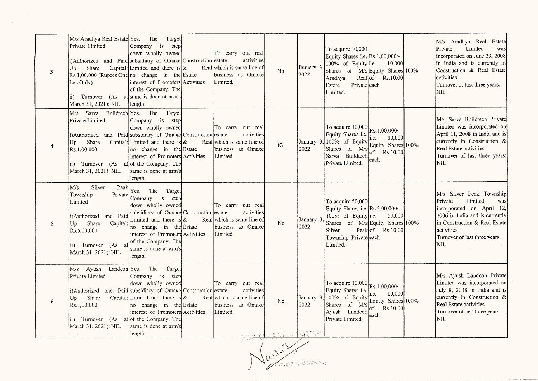| $\mathbf{3}$ | M/s Aradhya Real Estate Yes.<br>Private Limited<br>i)Authorized and Paid subsidiary of Omaxe Construction estate<br>Share<br>Up<br>$\left  \text{Rs.1,00,000 (Rupees One} \right $ no change in the Estate<br>Lac Only)<br>$\left  \text{ii} \right\rangle$ Turnover (As at same is done at arm's<br>March 31, 2021): NIL | The<br>Target<br>Company is<br>step<br>down wholly owned<br>Capital: Limited and there is &<br>interest of Promoters Activities<br>of the Company. The<br>length.                                                                                         | To carry out real<br>activities<br>Real which is same line of<br>business as Omaxe<br>Limited. | No                                           | January 3<br>2022 | To acquire 10,000<br>Equity Shares i.e. Rs.1,00,000/-<br>100% of Equity i.e.<br>Shares of M/s Equity Shares 100%<br>Aradhya<br>Privateleach<br>Estate<br>Limited. | 10,000<br>Real of Rs.10.00                                     | M/s Aradhya Real Estate<br>Limited<br>Private<br>was<br>incorporated on June 23, 2008<br>in India and is currently in<br>Construction & Real Estate<br>activities.<br>Turnover of last three years:<br>lnil  |
|--------------|---------------------------------------------------------------------------------------------------------------------------------------------------------------------------------------------------------------------------------------------------------------------------------------------------------------------------|-----------------------------------------------------------------------------------------------------------------------------------------------------------------------------------------------------------------------------------------------------------|------------------------------------------------------------------------------------------------|----------------------------------------------|-------------------|-------------------------------------------------------------------------------------------------------------------------------------------------------------------|----------------------------------------------------------------|--------------------------------------------------------------------------------------------------------------------------------------------------------------------------------------------------------------|
| 4            | M/s Sarva Buildtech Yes.<br>Private Limited<br>i)Authorized and Paid subsidiary of Omaxe Construction estate<br>Share<br>Up<br>Rs.1,00,000<br>ii) Turnover (As at of the Company. The<br>March 31, 2021): NIL                                                                                                             | The<br>Target<br>Company is<br>step<br>down wholly owned<br>Capital: Limited and there is $\&$<br>no change in the Estate<br>interest of Promoters Activities<br>same is done at arm's<br>length.                                                         | To carry out real<br>activities<br>Real which is same line of<br>business as Omaxe<br>Limited. | No                                           | January 3<br>2022 | To acquire 10,000 Rs.1,00,000/-<br>Equity Shares i.e.<br>$ 100\%$ of Equity<br>Shares of M/s<br>Sarva Buildtech<br>Private Limited.                               | 10,000<br>i.e.<br>Equity Shares 100%<br>of $Rs.10.00$<br>leach | M/s Sarva Buildtech Private<br>Limited was incorporated on<br>April 11, 2008 in India and is<br>currently in Construction &<br>Real Estate activities.<br>Turnover of last three years:<br>NIL               |
| 5            | Silver<br>M/s<br>Peak<br>Private<br>Township<br>Limited<br>i)Authorized and Paid<br>Share<br>Up<br>Capital:<br>Rs.5,00,000<br>ii) Turnover (As<br>at<br>March 31, 2021): NIL                                                                                                                                              | Yes. The Target<br>Company is<br>step<br>down wholly owned<br>subsidiary of Omaxe Construction estate<br>Limited and there is &<br>no change in the Estate<br>interest of Promoters Activities<br>of the Company. The<br>same is done at arm's<br>length. | To carry out real<br>activities<br>Real which is same line of<br>business as Omaxe<br>Limited. | N <sub>0</sub>                               | January 3<br>2022 | To acquire 50,000<br>Equity Shares i.e. Rs.5,00,000/-<br>100% of Equity i.e.<br>Shares of M/s Equity Shares 100%<br>Silver<br>Township Private each<br>Limited.   | 50,000<br>Peak of Rs.10.00                                     | M/s Silver Peak Township<br>Limited<br>Private<br>was<br>incorporated on April 12,<br>2006 in India and is currently<br>in Construction & Real Estate<br>activities.<br>Turnover of last three years:<br>NIL |
| 6            | M/s Ayush Landcon Yes.<br>Private Limited<br>i)Authorized and Paid subsidiary of Omaxe Construction estate<br>Share<br>Up<br>Rs.1,00,000<br>Turnover (As<br>ii)<br>March 31, 2021): NIL                                                                                                                                   | The<br>Target<br>Company is<br>step<br>down wholly owned<br>Capital: Limited and there is &<br>no change in the Estate<br>interest of Promoters Activities<br>atof the Company. The<br>same is done at arm's<br>length.                                   | To carry out real<br>activities<br>Real which is same line of<br>business as Omaxe<br>Limited. | N <sub>0</sub><br><u>ca- Omaxe i Imite</u> i | January 3<br>2022 | To acquire 10,000 Rs.1,00,000/-<br>Equity Shares i.e.<br>$, 100\%$ of Equity<br>Shares of M/s Equity Shares 100%<br>Ayush Landcon<br>Private Limited.             | i.e.<br>10,000<br>of Rs.10.00<br>each                          | M/s Ayush Landcon Private<br>Limited was incorporated on<br>July 8, 2008 in India and is<br>currently in Construction &<br>Real Estate activities.<br>Turnover of last three years:<br>NIL.                  |

 $\label{eq:2.1} \frac{1}{2} \sum_{i=1}^n \frac{1}{2} \sum_{j=1}^n \frac{1}{2} \sum_{j=1}^n \frac{1}{2} \sum_{j=1}^n \frac{1}{2} \sum_{j=1}^n \frac{1}{2} \sum_{j=1}^n \frac{1}{2} \sum_{j=1}^n \frac{1}{2} \sum_{j=1}^n \frac{1}{2} \sum_{j=1}^n \frac{1}{2} \sum_{j=1}^n \frac{1}{2} \sum_{j=1}^n \frac{1}{2} \sum_{j=1}^n \frac{1}{2} \sum_{j=1}^n \frac{$ 

For OMAXE I MITED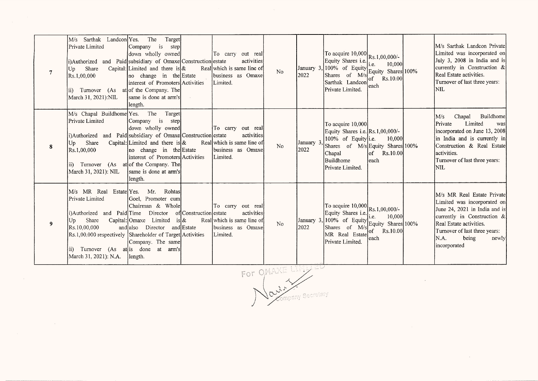| $\overline{7}$ | M/s Sarthak Landcon Yes.<br>Private Limited<br>i)Authorized and Paid subsidiary of Omaxe Construction estate<br>Share<br>Up<br>Rs.1,00,000<br>ii) Turnover (As at of the Company. The<br>March 31, 2021):NIL                                         | Target<br>The<br>Company is<br>step<br>down wholly owned<br>Capital: Limited and there is $\&$<br>no change in the Estate<br>interest of Promoters Activities<br>same is done at arm's<br>length. |                                       | To carry out real<br>activities<br>Real which is same line of<br>Ibusiness as Omaxe<br>Limited. | <b>No</b>      | January 3.<br>2022 | To acquire $10,000$ Rs.1,00,000/-<br>Equity Shares i.e.<br>$\sqrt{100\%}$ of Equity Equity Shares $100\%$<br>Shares of M/s<br>Sarthak Landcon<br>Private Limited. | 10,000<br>$of$ Rs.10.00<br>leach         | M/s Sarthak Landcon Private<br>Limited was incorporated on<br>July 3, 2008 in India and is<br>currently in Construction &<br>Real Estate activities.<br>Turnover of last three years:<br> NIL                                   |
|----------------|------------------------------------------------------------------------------------------------------------------------------------------------------------------------------------------------------------------------------------------------------|---------------------------------------------------------------------------------------------------------------------------------------------------------------------------------------------------|---------------------------------------|-------------------------------------------------------------------------------------------------|----------------|--------------------|-------------------------------------------------------------------------------------------------------------------------------------------------------------------|------------------------------------------|---------------------------------------------------------------------------------------------------------------------------------------------------------------------------------------------------------------------------------|
| 8              | M/s Chapal Buildhome Yes.<br>Private Limited<br>i)Authorized and Paid subsidiary of Omaxe Construction estate<br>Share<br> Up <br>Rs.1,00,000<br>ii) Turnover (As at of the Company. The<br>March 31, 2021): NIL                                     | Target<br>The<br>Company is<br>step<br>down wholly owned<br>Capital: Limited and there is $\&$<br>no change in the Estate<br>interest of Promoters Activities<br>same is done at arm's<br>length. |                                       | To carry out real<br>activities<br>Real which is same line of<br>business as Omaxe<br>Limited.  | N <sub>o</sub> | January 3<br>2022  | To acquire 10,000<br>Equity Shares i.e. Rs.1,00,000/-<br>100% of Equity i.e.<br>Shares of M/s Equity Shares 100%<br>Chapal<br>Buildhome<br>Private Limited.       | 10,000<br>$\circ$ f<br>Rs.10.00<br>leach | Buildhome<br>M/s<br>Chapal<br>Private<br>Limited<br>was<br>incorporated on June 13, 2008<br>in India and is currently in<br>Construction & Real Estate<br>activities.<br>Turnover of last three years:<br>NIL.                  |
| 9              | M/s MR Real Estate Yes.<br>Private Limited<br>i)Authorized and Paid Time<br>Share<br>Up<br>Rs.10.00.000<br>Rs.1,00,000 respectively Shareholder of Target Activities<br>ii) Turnover (As at is done at arm's<br>March 31, 2021): N.A. <b>length.</b> | Rohtas<br>Mr.<br>Goel, Promoter cum<br>Chairman & Whole<br>Director<br>Capital: Omaxe Limited<br>and also Director and Estate<br>Company. The same                                                | of Construction estate<br>is $\alpha$ | To carry out real<br>activities<br>Real which is same line of<br>business as Omaxe<br>Limited.  | No             | January 3.<br>2022 | To acquire 10,000<br>Equity Shares i.e. Rs.1,00,000/-<br>100% of Equity Shares 10,000<br>Shares of M/s of Rs.10,000<br>MR Real Estate<br>Private Limited.         | $\circ$ f<br>Rs.10.00<br>leach           | M/s MR Real Estate Private<br>Limited was incorporated on<br>June 24, 2021 in India and is<br>currently in Construction &<br>Real Estate activities.<br>Turnover of last three years:<br>N.A.<br>being<br>newly<br>incorporated |

For OMAXE LINUED

 $\mathcal{L}$ 

 $\sim 10^7$ 

 $\sim$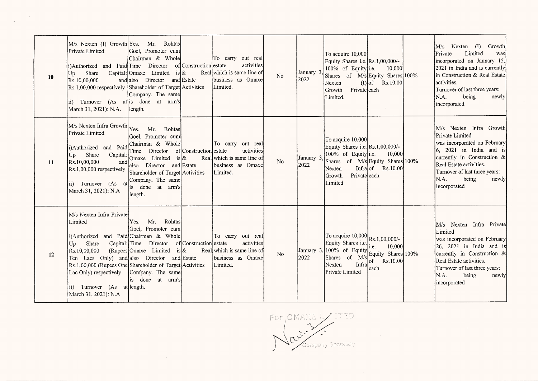| 10 | M/s Nexten (I) Growth Yes.<br>Private Limited<br>i)Authorized and Paid Time Director<br>Share<br>Up<br>Rs.10,00,000<br>Rs.1,00,000 respectively Shareholder of Target Activities<br>ii) Turnover (As at is done at arm's<br>March 31, 2021): N.A.                                                        | Mr. Rohtas<br>Goel, Promoter cum<br>Chairman & Whole<br>is $\&$<br>Capital: Omaxe Limited<br>and also Director and Estate<br>Company. The same<br>length.                                                                                            | of Construction estate | To carry out real<br>activities<br>Real which is same line of<br>business as Omaxe<br>Limited.   | No             | January 3<br>2022 | To acquire $10,000$<br>Equity Shares i.e. Rs.1,00,000/-<br>100% of Equity i.e.<br>Shares of M/s Equity Shares 100%<br>Nexten<br>Growth<br>Privateleach<br>Limited.                                                                                                                                                           | 10,000<br>$(I) $ of Rs.10.00<br>$\sim 10^{-11}$ | M/s Nexten (I)<br>Growth<br>Limited<br>Private<br>was<br>incorporated on January 15,<br>2021 in India and is currently<br>in Construction & Real Estate<br>activities.<br>Turnover of last three years:<br>N.A.<br>being<br>newly<br>incorporated                               |
|----|----------------------------------------------------------------------------------------------------------------------------------------------------------------------------------------------------------------------------------------------------------------------------------------------------------|------------------------------------------------------------------------------------------------------------------------------------------------------------------------------------------------------------------------------------------------------|------------------------|--------------------------------------------------------------------------------------------------|----------------|-------------------|------------------------------------------------------------------------------------------------------------------------------------------------------------------------------------------------------------------------------------------------------------------------------------------------------------------------------|-------------------------------------------------|---------------------------------------------------------------------------------------------------------------------------------------------------------------------------------------------------------------------------------------------------------------------------------|
| 11 | M/s Nexten Infra Growth<br>Private Limited<br>i)Authorized and Paid<br>Share<br>Capital<br> Up <br>Rs.10,00,000<br>andl<br>$\left[\text{Rs}.1,00,000\right]$ respectively<br>ii) Turnover (As at<br>March 31, 2021): N.A                                                                                 | Yes.<br>Mr.<br>Rohtas<br>Goel, Promoter cum<br>Chairman & Whole<br>Time Director of Construction estate<br>Omaxe Limited is $\&$<br>also Director and Estate<br>Shareholder of Target Activities<br>Company. The same<br>is done at arm's<br>length. |                        | To carry out real<br>activities<br>Real which is same line of<br>Ibusiness as Omaxel<br>Limited. | N <sub>0</sub> | January 3<br>2022 | To acquire 10,000<br>Equity Shares i.e. Rs.1,00,000/-<br>100% of Equity i.e.<br>Shares of M/s Equity Shares 100%<br>Nexten<br>Growth<br>Privateleach<br>Limited                                                                                                                                                              | 10,000<br>Infra $of$ Rs.10.00                   | M/s Nexten Infra Growth<br>Private Limited<br>was incorporated on February<br>$\begin{vmatrix} 6 & 2021 \end{vmatrix}$ in India and is<br>currently in Construction &<br>Real Estate activities.<br>Turnover of last three years:<br>IN.A.<br>newly<br>being<br>incorporated    |
| 12 | M/s Nexten Infra Private<br>Limited<br>i)Authorized and Paid Chairman & Whole<br>Share<br>Up<br>Rs.10,00,000<br>Ten Lacs Only) and also Director and Estate<br>Rs.1,00,000 (Rupees One Shareholder of Target Activities<br>Lac Only) respectively<br>ii) Turnover (As at length.<br>March 31, 2021): N.A | Rohtas<br>Yes.<br>Mr.<br>Goel, Promoter cum<br>Capital: Time Director of Construction estate<br>(Rupees Omaxe Limited<br>Company. The same<br>is done at arm's                                                                                       | $is\&$                 | To carry out real<br>activities<br>Real which is same line of<br>business as Omaxe<br>Limited.   | N <sub>0</sub> |                   | To acquire $10,000$ Rs.1,00,000/-<br>Equity Shares i.e. <sub>i.e.</sub><br>January 3, 100% of Equity $\begin{bmatrix} 1.6 & 10,000 \\ \text{Equity} & \text{Shares} \end{bmatrix}$<br>2022 Shares of M/s $\begin{bmatrix} 1.6 & 10,000 \\ \text{Equity} & \text{Shares} \end{bmatrix}$<br>Infra<br>Nexten<br>Private Limited | 10,000<br>$of$ Rs.10.00<br>each                 | M/s Nexten Infra Private<br>Limited<br>was incorporated on February<br>$\begin{bmatrix} 26 & 2021 & \text{in} \end{bmatrix}$ India and is<br>currently in Construction &<br>Real Estate activities.<br>Turnover of last three years:<br>IN.A.<br>being<br>newly<br>incorporated |

 $\mathcal{C}$ 

For OMAXE TTCA Contract of Company Secretary